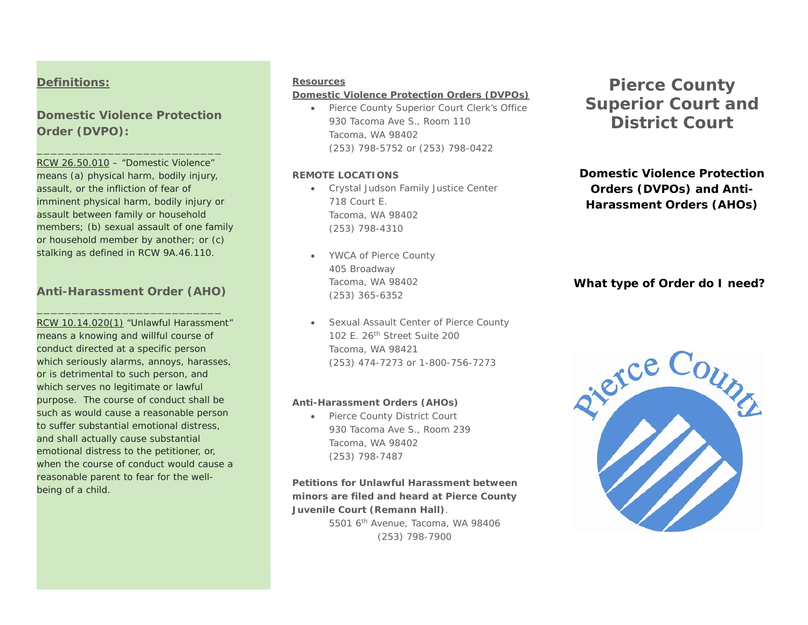### **Definitions:**

# **Domestic Violence Protection Order (DVPO):**

\_\_\_\_\_\_\_\_\_\_\_\_\_\_\_\_\_\_\_\_\_\_\_\_\_\_

RCW 26.50.010 – "Domestic Violence" means (a) physical harm, bodily injury, assault, or the infliction of fear of imminent physical harm, bodily injury or assault between family or household members; (b) sexual assault of one family or household member by another; or (c) stalking as defined in RCW 9A.46.110.

# **Anti-Harassment Order (AHO)** \_\_\_\_\_\_\_\_\_\_\_\_\_\_\_\_\_\_\_\_\_\_\_\_\_\_

RCW 10.14.020(1) "Unlawful Harassment" means a knowing and willful course of conduct directed at a specific person which seriously alarms, annoys, harasses, or is detrimental to such person, and which serves no legitimate or lawful purpose. The course of conduct shall be such as would cause a reasonable person to suffer substantial emotional distress, and shall actually cause substantial emotional distress to the petitioner, or, when the course of conduct would cause a reasonable parent to fear for the wellbeing of a child.

#### **Resources**

#### **Domestic Violence Protection Orders (DVPOs)**

• Pierce County Superior Court Clerk's Office 930 Tacoma Ave S., Room 110 Tacoma, WA 98402 (253) 798-5752 or (253) 798-0422

#### **REMOTE LOCATIONS**

- Crystal Judson Family Justice Center 718 Court E. Tacoma, WA 98402 (253) 798-4310
- YWCA of Pierce County 405 Broadway Tacoma, WA 98402 (253) 365-6352
- Sexual Assault Center of Pierce County 102 E. 26th Street Suite 200 Tacoma, WA 98421 (253) 474-7273 or 1-800-756-7273

### **Anti-Harassment Orders (AHOs)**

• Pierce County District Court 930 Tacoma Ave S., Room 239 Tacoma, WA 98402 (253) 798-7487

**Petitions for Unlawful Harassment between minors are filed and heard at Pierce County Juvenile Court (Remann Hall)**. 5501 6th Avenue, Tacoma, WA 98406 (253) 798-7900

# **Pierce County Superior Court and District Court**

**Domestic Violence Protection Orders (DVPOs) and Anti-Harassment Orders (AHOs)**

### **What type of Order do I need?**